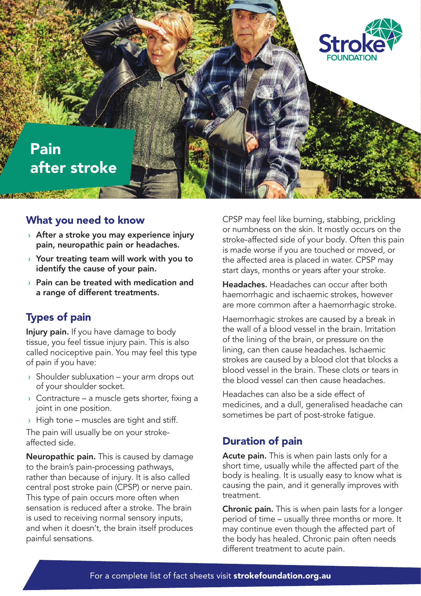

#### What you need to know

- $\rightarrow$  After a stroke you may experience injury pain, neuropathic pain or headaches.
- $\rightarrow$  Your treating team will work with you to identify the cause of your pain.
- $\rightarrow$  Pain can be treated with medication and a range of different treatments.

## Types of pain

Injury pain. If you have damage to body tissue, you feel tissue injury pain. This is also called nociceptive pain. You may feel this type of pain if you have:

- $\rightarrow$  Shoulder subluxation your arm drops out of your shoulder socket.
- $\rightarrow$  Contracture a muscle gets shorter, fixing a joint in one position.
- $\rightarrow$  High tone muscles are tight and stiff.

The pain will usually be on your strokeaffected side.

Neuropathic pain. This is caused by damage to the brain's pain-processing pathways, rather than because of injury. It is also called central post stroke pain (CPSP) or nerve pain. This type of pain occurs more often when sensation is reduced after a stroke. The brain is used to receiving normal sensory inputs, and when it doesn't, the brain itself produces painful sensations.

CPSP may feel like burning, stabbing, prickling or numbness on the skin. It mostly occurs on the stroke-affected side of your body. Often this pain is made worse if you are touched or moved, or the affected area is placed in water. CPSP may start days, months or years after your stroke.

Headaches. Headaches can occur after both haemorrhagic and ischaemic strokes, however are more common after a haemorrhagic stroke.

Haemorrhagic strokes are caused by a break in the wall of a blood vessel in the brain. Irritation of the lining of the brain, or pressure on the lining, can then cause headaches. Ischaemic strokes are caused by a blood clot that blocks a blood vessel in the brain. These clots or tears in the blood vessel can then cause headaches.

Headaches can also be a side effect of medicines, and a dull, generalised headache can sometimes be part of post-stroke fatigue.

#### Duration of pain

Acute pain. This is when pain lasts only for a short time, usually while the affected part of the body is healing. It is usually easy to know what is causing the pain, and it generally improves with treatment.

**Chronic pain.** This is when pain lasts for a longer period of time – usually three months or more. It may continue even though the affected part of the body has healed. Chronic pain often needs different treatment to acute pain.